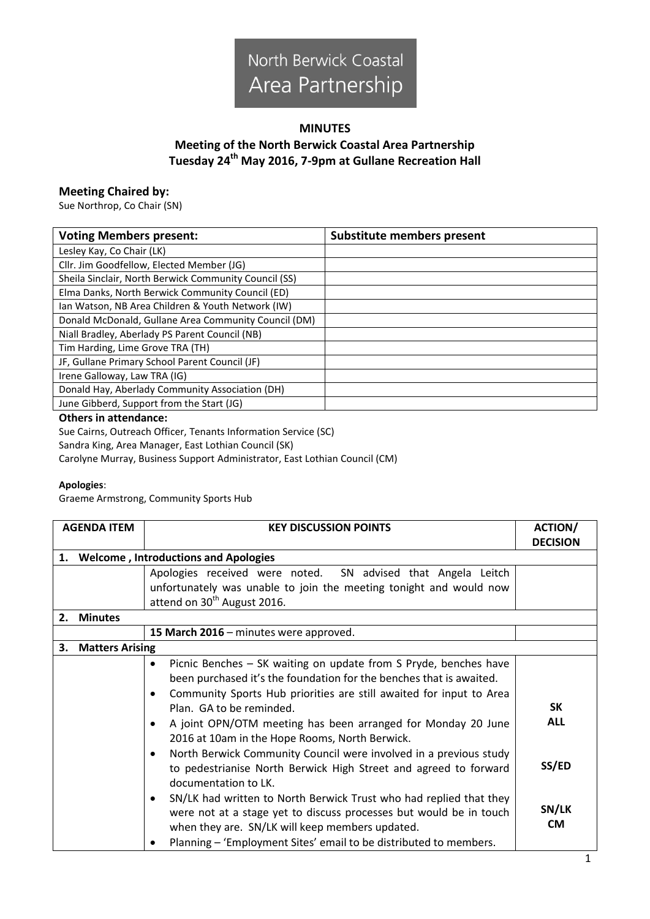

## **MINUTES Meeting of the North Berwick Coastal Area Partnership Tuesday 24th May 2016, 7-9pm at Gullane Recreation Hall**

## **Meeting Chaired by:**

Sue Northrop, Co Chair (SN)

| <b>Voting Members present:</b>                        | <b>Substitute members present</b> |
|-------------------------------------------------------|-----------------------------------|
| Lesley Kay, Co Chair (LK)                             |                                   |
| Cllr. Jim Goodfellow, Elected Member (JG)             |                                   |
| Sheila Sinclair, North Berwick Community Council (SS) |                                   |
| Elma Danks, North Berwick Community Council (ED)      |                                   |
| Ian Watson, NB Area Children & Youth Network (IW)     |                                   |
| Donald McDonald, Gullane Area Community Council (DM)  |                                   |
| Niall Bradley, Aberlady PS Parent Council (NB)        |                                   |
| Tim Harding, Lime Grove TRA (TH)                      |                                   |
| JF, Gullane Primary School Parent Council (JF)        |                                   |
| Irene Galloway, Law TRA (IG)                          |                                   |
| Donald Hay, Aberlady Community Association (DH)       |                                   |
| June Gibberd, Support from the Start (JG)             |                                   |

## **Others in attendance:**

Sue Cairns, Outreach Officer, Tenants Information Service (SC) Sandra King, Area Manager, East Lothian Council (SK) Carolyne Murray, Business Support Administrator, East Lothian Council (CM)

## **Apologies**:

Graeme Armstrong, Community Sports Hub

|                                                   | <b>AGENDA ITEM</b>     | <b>KEY DISCUSSION POINTS</b>                                                                                                                                                                                                                                          | <b>ACTION/</b><br><b>DECISION</b> |
|---------------------------------------------------|------------------------|-----------------------------------------------------------------------------------------------------------------------------------------------------------------------------------------------------------------------------------------------------------------------|-----------------------------------|
| <b>Welcome, Introductions and Apologies</b><br>1. |                        |                                                                                                                                                                                                                                                                       |                                   |
|                                                   |                        | Apologies received were noted. SN advised that Angela Leitch                                                                                                                                                                                                          |                                   |
|                                                   |                        | unfortunately was unable to join the meeting tonight and would now<br>attend on 30 <sup>th</sup> August 2016.                                                                                                                                                         |                                   |
|                                                   | 2. Minutes             |                                                                                                                                                                                                                                                                       |                                   |
|                                                   |                        | 15 March 2016 - minutes were approved.                                                                                                                                                                                                                                |                                   |
| З.                                                | <b>Matters Arising</b> |                                                                                                                                                                                                                                                                       |                                   |
|                                                   |                        | Picnic Benches - SK waiting on update from S Pryde, benches have<br>٠<br>been purchased it's the foundation for the benches that is awaited.<br>Community Sports Hub priorities are still awaited for input to Area<br>Plan. GA to be reminded.                       | SK                                |
|                                                   |                        | A joint OPN/OTM meeting has been arranged for Monday 20 June<br>٠<br>2016 at 10am in the Hope Rooms, North Berwick.<br>North Berwick Community Council were involved in a previous study<br>$\bullet$                                                                 | <b>ALL</b>                        |
|                                                   |                        | to pedestrianise North Berwick High Street and agreed to forward<br>documentation to LK.                                                                                                                                                                              | SS/ED                             |
|                                                   |                        | SN/LK had written to North Berwick Trust who had replied that they<br>٠<br>were not at a stage yet to discuss processes but would be in touch<br>when they are. SN/LK will keep members updated.<br>Planning – 'Employment Sites' email to be distributed to members. | SN/LK<br><b>CM</b>                |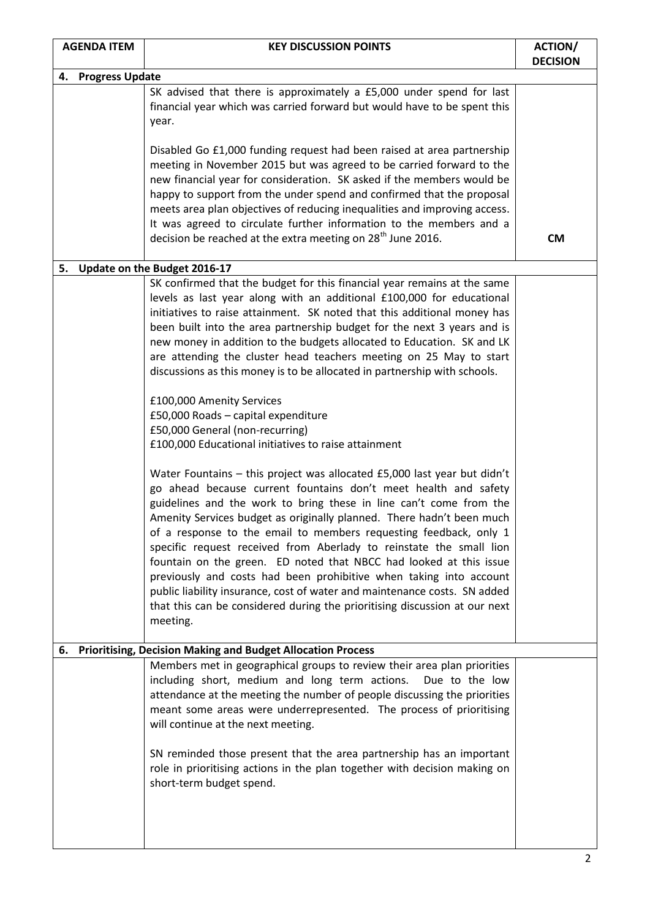| <b>AGENDA ITEM</b>                                                                                             | <b>KEY DISCUSSION POINTS</b>                                                                                                                                                                                                                                                                                                                                                                                                                                                                                                                                                                                                                                                                                                                              | <b>ACTION/</b><br><b>DECISION</b> |  |  |  |
|----------------------------------------------------------------------------------------------------------------|-----------------------------------------------------------------------------------------------------------------------------------------------------------------------------------------------------------------------------------------------------------------------------------------------------------------------------------------------------------------------------------------------------------------------------------------------------------------------------------------------------------------------------------------------------------------------------------------------------------------------------------------------------------------------------------------------------------------------------------------------------------|-----------------------------------|--|--|--|
|                                                                                                                | 4. Progress Update                                                                                                                                                                                                                                                                                                                                                                                                                                                                                                                                                                                                                                                                                                                                        |                                   |  |  |  |
|                                                                                                                | SK advised that there is approximately a £5,000 under spend for last<br>financial year which was carried forward but would have to be spent this<br>year.                                                                                                                                                                                                                                                                                                                                                                                                                                                                                                                                                                                                 |                                   |  |  |  |
|                                                                                                                | Disabled Go £1,000 funding request had been raised at area partnership<br>meeting in November 2015 but was agreed to be carried forward to the<br>new financial year for consideration. SK asked if the members would be<br>happy to support from the under spend and confirmed that the proposal                                                                                                                                                                                                                                                                                                                                                                                                                                                         |                                   |  |  |  |
|                                                                                                                | meets area plan objectives of reducing inequalities and improving access.<br>It was agreed to circulate further information to the members and a<br>decision be reached at the extra meeting on 28 <sup>th</sup> June 2016.                                                                                                                                                                                                                                                                                                                                                                                                                                                                                                                               | <b>CM</b>                         |  |  |  |
|                                                                                                                |                                                                                                                                                                                                                                                                                                                                                                                                                                                                                                                                                                                                                                                                                                                                                           |                                   |  |  |  |
| Update on the Budget 2016-17<br>5.<br>SK confirmed that the budget for this financial year remains at the same |                                                                                                                                                                                                                                                                                                                                                                                                                                                                                                                                                                                                                                                                                                                                                           |                                   |  |  |  |
|                                                                                                                | levels as last year along with an additional £100,000 for educational<br>initiatives to raise attainment. SK noted that this additional money has<br>been built into the area partnership budget for the next 3 years and is<br>new money in addition to the budgets allocated to Education. SK and LK<br>are attending the cluster head teachers meeting on 25 May to start<br>discussions as this money is to be allocated in partnership with schools.                                                                                                                                                                                                                                                                                                 |                                   |  |  |  |
|                                                                                                                | £100,000 Amenity Services<br>£50,000 Roads - capital expenditure<br>£50,000 General (non-recurring)<br>£100,000 Educational initiatives to raise attainment                                                                                                                                                                                                                                                                                                                                                                                                                                                                                                                                                                                               |                                   |  |  |  |
|                                                                                                                | Water Fountains - this project was allocated £5,000 last year but didn't<br>go ahead because current fountains don't meet health and safety<br>guidelines and the work to bring these in line can't come from the<br>Amenity Services budget as originally planned. There hadn't been much<br>of a response to the email to members requesting feedback, only 1<br>specific request received from Aberlady to reinstate the small lion<br>fountain on the green. ED noted that NBCC had looked at this issue<br>previously and costs had been prohibitive when taking into account<br>public liability insurance, cost of water and maintenance costs. SN added<br>that this can be considered during the prioritising discussion at our next<br>meeting. |                                   |  |  |  |
| <b>Prioritising, Decision Making and Budget Allocation Process</b><br>6.                                       |                                                                                                                                                                                                                                                                                                                                                                                                                                                                                                                                                                                                                                                                                                                                                           |                                   |  |  |  |
|                                                                                                                | Members met in geographical groups to review their area plan priorities<br>including short, medium and long term actions.<br>Due to the low<br>attendance at the meeting the number of people discussing the priorities<br>meant some areas were underrepresented. The process of prioritising<br>will continue at the next meeting.<br>SN reminded those present that the area partnership has an important                                                                                                                                                                                                                                                                                                                                              |                                   |  |  |  |
|                                                                                                                | role in prioritising actions in the plan together with decision making on<br>short-term budget spend.                                                                                                                                                                                                                                                                                                                                                                                                                                                                                                                                                                                                                                                     |                                   |  |  |  |